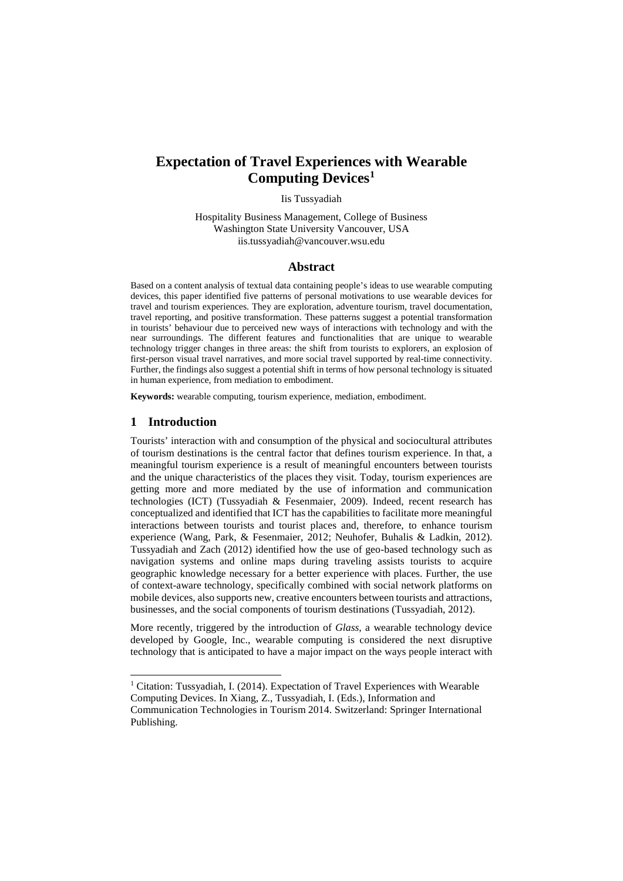# **Expectation of Travel Experiences with Wearable Computing Devices[1](#page-0-0)**

Iis Tussyadiah

Hospitality Business Management, College of Business Washington State University Vancouver, USA iis.tussyadiah@vancouver.wsu.edu

### **Abstract**

Based on a content analysis of textual data containing people's ideas to use wearable computing devices, this paper identified five patterns of personal motivations to use wearable devices for travel and tourism experiences. They are exploration, adventure tourism, travel documentation, travel reporting, and positive transformation. These patterns suggest a potential transformation in tourists' behaviour due to perceived new ways of interactions with technology and with the near surroundings. The different features and functionalities that are unique to wearable technology trigger changes in three areas: the shift from tourists to explorers, an explosion of first-person visual travel narratives, and more social travel supported by real-time connectivity. Further, the findings also suggest a potential shift in terms of how personal technology is situated in human experience, from mediation to embodiment.

**Keywords:** wearable computing, tourism experience, mediation, embodiment.

#### **1 Introduction**

j

Tourists' interaction with and consumption of the physical and sociocultural attributes of tourism destinations is the central factor that defines tourism experience. In that, a meaningful tourism experience is a result of meaningful encounters between tourists and the unique characteristics of the places they visit. Today, tourism experiences are getting more and more mediated by the use of information and communication technologies (ICT) (Tussyadiah & Fesenmaier, 2009). Indeed, recent research has conceptualized and identified that ICT has the capabilities to facilitate more meaningful interactions between tourists and tourist places and, therefore, to enhance tourism experience (Wang, Park, & Fesenmaier, 2012; Neuhofer, Buhalis & Ladkin, 2012). Tussyadiah and Zach (2012) identified how the use of geo-based technology such as navigation systems and online maps during traveling assists tourists to acquire geographic knowledge necessary for a better experience with places. Further, the use of context-aware technology, specifically combined with social network platforms on mobile devices, also supports new, creative encounters between tourists and attractions, businesses, and the social components of tourism destinations (Tussyadiah, 2012).

More recently, triggered by the introduction of *Glass,* a wearable technology device developed by Google, Inc., wearable computing is considered the next disruptive technology that is anticipated to have a major impact on the ways people interact with

<span id="page-0-0"></span><sup>1</sup> Citation: Tussyadiah, I. (2014). Expectation of Travel Experiences with Wearable Computing Devices. In Xiang, Z., Tussyadiah, I. (Eds.), Information and Communication Technologies in Tourism 2014. Switzerland: Springer International Publishing.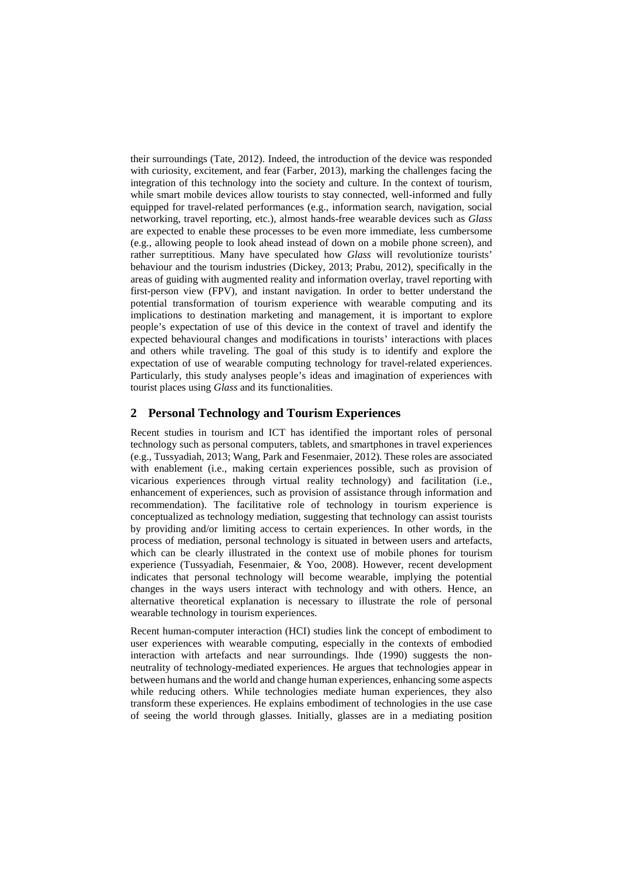their surroundings (Tate, 2012). Indeed, the introduction of the device was responded with curiosity, excitement, and fear (Farber, 2013), marking the challenges facing the integration of this technology into the society and culture. In the context of tourism, while smart mobile devices allow tourists to stay connected, well-informed and fully equipped for travel-related performances (e.g., information search, navigation, social networking, travel reporting, etc.), almost hands-free wearable devices such as *Glass* are expected to enable these processes to be even more immediate, less cumbersome (e.g., allowing people to look ahead instead of down on a mobile phone screen), and rather surreptitious. Many have speculated how *Glass* will revolutionize tourists' behaviour and the tourism industries (Dickey, 2013; Prabu, 2012), specifically in the areas of guiding with augmented reality and information overlay, travel reporting with first-person view (FPV), and instant navigation. In order to better understand the potential transformation of tourism experience with wearable computing and its implications to destination marketing and management, it is important to explore people's expectation of use of this device in the context of travel and identify the expected behavioural changes and modifications in tourists' interactions with places and others while traveling. The goal of this study is to identify and explore the expectation of use of wearable computing technology for travel-related experiences. Particularly, this study analyses people's ideas and imagination of experiences with tourist places using *Glass* and its functionalities.

# **2 Personal Technology and Tourism Experiences**

Recent studies in tourism and ICT has identified the important roles of personal technology such as personal computers, tablets, and smartphones in travel experiences (e.g., Tussyadiah, 2013; Wang, Park and Fesenmaier, 2012). These roles are associated with enablement (i.e., making certain experiences possible, such as provision of vicarious experiences through virtual reality technology) and facilitation (i.e., enhancement of experiences, such as provision of assistance through information and recommendation). The facilitative role of technology in tourism experience is conceptualized as technology mediation, suggesting that technology can assist tourists by providing and/or limiting access to certain experiences. In other words, in the process of mediation, personal technology is situated in between users and artefacts, which can be clearly illustrated in the context use of mobile phones for tourism experience (Tussyadiah, Fesenmaier, & Yoo, 2008). However, recent development indicates that personal technology will become wearable, implying the potential changes in the ways users interact with technology and with others. Hence, an alternative theoretical explanation is necessary to illustrate the role of personal wearable technology in tourism experiences.

Recent human-computer interaction (HCI) studies link the concept of embodiment to user experiences with wearable computing, especially in the contexts of embodied interaction with artefacts and near surroundings. Ihde (1990) suggests the nonneutrality of technology-mediated experiences. He argues that technologies appear in between humans and the world and change human experiences, enhancing some aspects while reducing others. While technologies mediate human experiences, they also transform these experiences. He explains embodiment of technologies in the use case of seeing the world through glasses. Initially, glasses are in a mediating position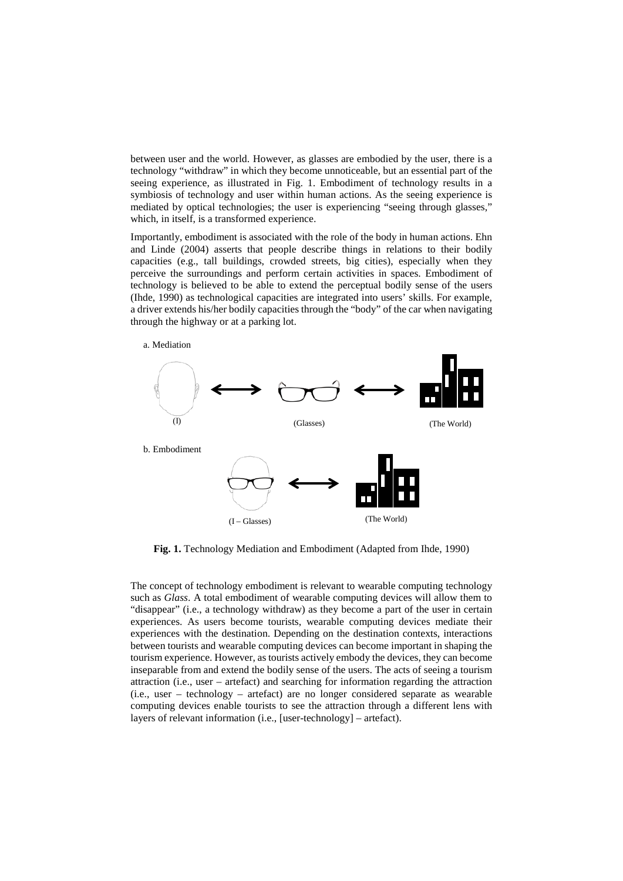between user and the world. However, as glasses are embodied by the user, there is a technology "withdraw" in which they become unnoticeable, but an essential part of the seeing experience, as illustrated in Fig. 1. Embodiment of technology results in a symbiosis of technology and user within human actions. As the seeing experience is mediated by optical technologies; the user is experiencing "seeing through glasses," which, in itself, is a transformed experience.

Importantly, embodiment is associated with the role of the body in human actions. Ehn and Linde (2004) asserts that people describe things in relations to their bodily capacities (e.g., tall buildings, crowded streets, big cities), especially when they perceive the surroundings and perform certain activities in spaces. Embodiment of technology is believed to be able to extend the perceptual bodily sense of the users (Ihde, 1990) as technological capacities are integrated into users' skills. For example, a driver extends his/her bodily capacities through the "body" of the car when navigating through the highway or at a parking lot.



**Fig. 1.** Technology Mediation and Embodiment (Adapted from Ihde, 1990)

The concept of technology embodiment is relevant to wearable computing technology such as *Glass*. A total embodiment of wearable computing devices will allow them to "disappear" (i.e., a technology withdraw) as they become a part of the user in certain experiences. As users become tourists, wearable computing devices mediate their experiences with the destination. Depending on the destination contexts, interactions between tourists and wearable computing devices can become important in shaping the tourism experience. However, as tourists actively embody the devices, they can become inseparable from and extend the bodily sense of the users. The acts of seeing a tourism attraction (i.e., user – artefact) and searching for information regarding the attraction (i.e., user – technology – artefact) are no longer considered separate as wearable computing devices enable tourists to see the attraction through a different lens with layers of relevant information (i.e., [user-technology] – artefact).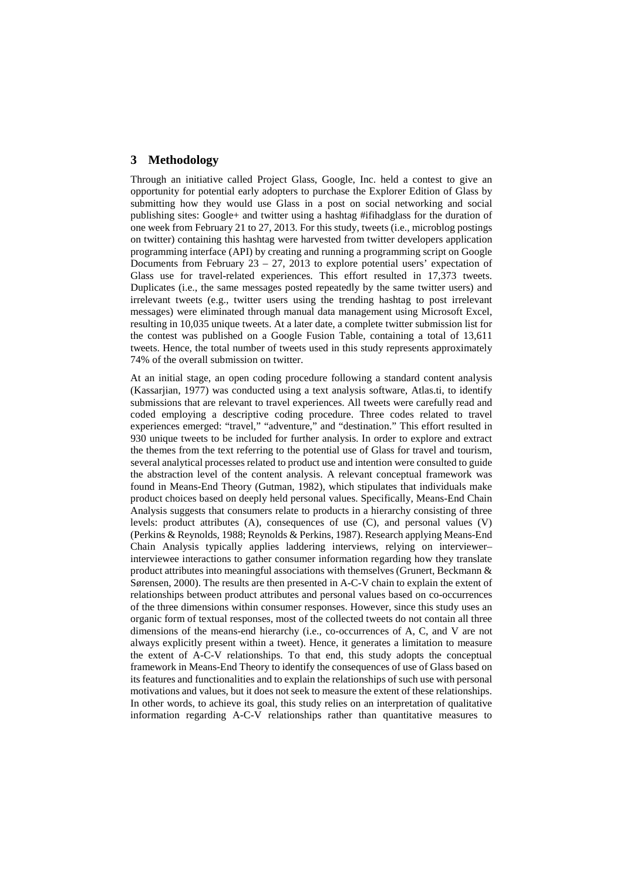# **3 Methodology**

Through an initiative called Project Glass, Google, Inc. held a contest to give an opportunity for potential early adopters to purchase the Explorer Edition of Glass by submitting how they would use Glass in a post on social networking and social publishing sites: Google+ and twitter using a hashtag #ifihadglass for the duration of one week from February 21 to 27, 2013. For this study, tweets (i.e., microblog postings on twitter) containing this hashtag were harvested from twitter developers application programming interface (API) by creating and running a programming script on Google Documents from February  $23 - 27$ ,  $2013$  to explore potential users' expectation of Glass use for travel-related experiences. This effort resulted in 17,373 tweets. Duplicates (i.e., the same messages posted repeatedly by the same twitter users) and irrelevant tweets (e.g., twitter users using the trending hashtag to post irrelevant messages) were eliminated through manual data management using Microsoft Excel, resulting in 10,035 unique tweets. At a later date, a complete twitter submission list for the contest was published on a Google Fusion Table, containing a total of 13,611 tweets. Hence, the total number of tweets used in this study represents approximately 74% of the overall submission on twitter.

At an initial stage, an open coding procedure following a standard content analysis (Kassarjian, 1977) was conducted using a text analysis software, Atlas.ti, to identify submissions that are relevant to travel experiences. All tweets were carefully read and coded employing a descriptive coding procedure. Three codes related to travel experiences emerged: "travel," "adventure," and "destination." This effort resulted in 930 unique tweets to be included for further analysis. In order to explore and extract the themes from the text referring to the potential use of Glass for travel and tourism, several analytical processes related to product use and intention were consulted to guide the abstraction level of the content analysis. A relevant conceptual framework was found in Means-End Theory (Gutman, 1982), which stipulates that individuals make product choices based on deeply held personal values. Specifically, Means-End Chain Analysis suggests that consumers relate to products in a hierarchy consisting of three levels: product attributes  $(A)$ , consequences of use  $(C)$ , and personal values  $(V)$ (Perkins & Reynolds, 1988; Reynolds & Perkins, 1987). Research applying Means-End Chain Analysis typically applies laddering interviews, relying on interviewer– interviewee interactions to gather consumer information regarding how they translate product attributes into meaningful associations with themselves (Grunert, Beckmann & Sørensen, 2000). The results are then presented in A-C-V chain to explain the extent of relationships between product attributes and personal values based on co-occurrences of the three dimensions within consumer responses. However, since this study uses an organic form of textual responses, most of the collected tweets do not contain all three dimensions of the means-end hierarchy (i.e., co-occurrences of A, C, and V are not always explicitly present within a tweet). Hence, it generates a limitation to measure the extent of A-C-V relationships. To that end, this study adopts the conceptual framework in Means-End Theory to identify the consequences of use of Glass based on its features and functionalities and to explain the relationships of such use with personal motivations and values, but it does not seek to measure the extent of these relationships. In other words, to achieve its goal, this study relies on an interpretation of qualitative information regarding A-C-V relationships rather than quantitative measures to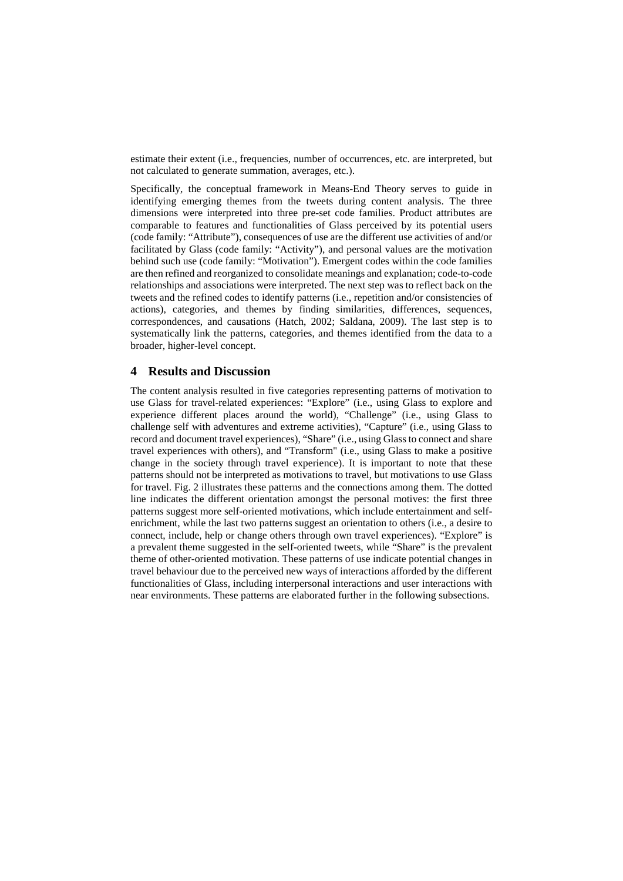estimate their extent (i.e., frequencies, number of occurrences, etc. are interpreted, but not calculated to generate summation, averages, etc.).

Specifically, the conceptual framework in Means-End Theory serves to guide in identifying emerging themes from the tweets during content analysis. The three dimensions were interpreted into three pre-set code families. Product attributes are comparable to features and functionalities of Glass perceived by its potential users (code family: "Attribute"), consequences of use are the different use activities of and/or facilitated by Glass (code family: "Activity"), and personal values are the motivation behind such use (code family: "Motivation"). Emergent codes within the code families are then refined and reorganized to consolidate meanings and explanation; code-to-code relationships and associations were interpreted. The next step was to reflect back on the tweets and the refined codes to identify patterns (i.e., repetition and/or consistencies of actions), categories, and themes by finding similarities, differences, sequences, correspondences, and causations (Hatch, 2002; Saldana, 2009). The last step is to systematically link the patterns, categories, and themes identified from the data to a broader, higher-level concept.

# **4 Results and Discussion**

The content analysis resulted in five categories representing patterns of motivation to use Glass for travel-related experiences: "Explore" (i.e., using Glass to explore and experience different places around the world), "Challenge" (i.e., using Glass to challenge self with adventures and extreme activities), "Capture" (i.e., using Glass to record and document travel experiences), "Share" (i.e., using Glassto connect and share travel experiences with others), and "Transform" (i.e., using Glass to make a positive change in the society through travel experience). It is important to note that these patterns should not be interpreted as motivations to travel, but motivations to use Glass for travel. Fig. 2 illustrates these patterns and the connections among them. The dotted line indicates the different orientation amongst the personal motives: the first three patterns suggest more self-oriented motivations, which include entertainment and selfenrichment, while the last two patterns suggest an orientation to others (i.e., a desire to connect, include, help or change others through own travel experiences). "Explore" is a prevalent theme suggested in the self-oriented tweets, while "Share" is the prevalent theme of other-oriented motivation. These patterns of use indicate potential changes in travel behaviour due to the perceived new ways of interactions afforded by the different functionalities of Glass, including interpersonal interactions and user interactions with near environments. These patterns are elaborated further in the following subsections.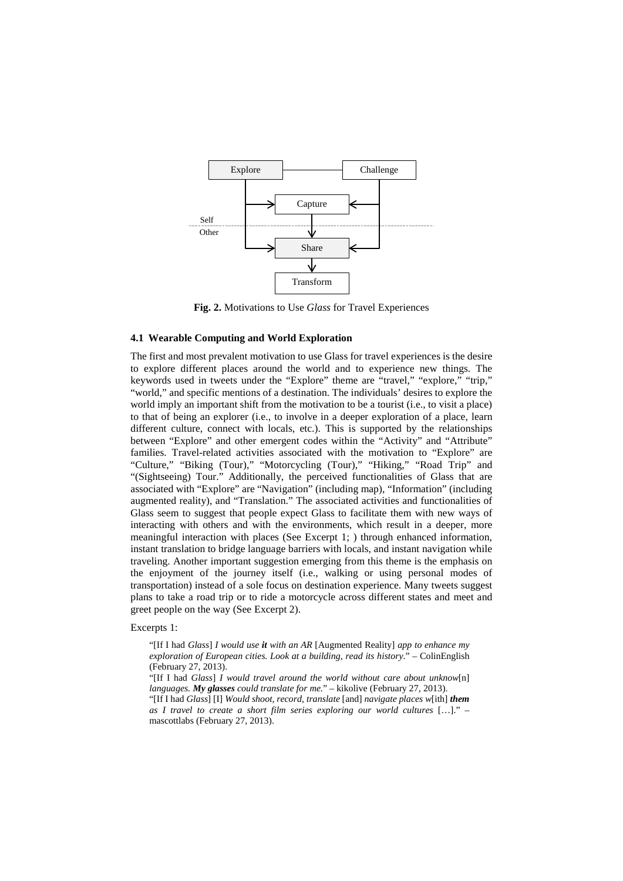

**Fig. 2.** Motivations to Use *Glass* for Travel Experiences

#### **4.1 Wearable Computing and World Exploration**

The first and most prevalent motivation to use Glass for travel experiences is the desire to explore different places around the world and to experience new things. The keywords used in tweets under the "Explore" theme are "travel," "explore," "trip," "world," and specific mentions of a destination. The individuals' desires to explore the world imply an important shift from the motivation to be a tourist (i.e., to visit a place) to that of being an explorer (i.e., to involve in a deeper exploration of a place, learn different culture, connect with locals, etc.). This is supported by the relationships between "Explore" and other emergent codes within the "Activity" and "Attribute" families. Travel-related activities associated with the motivation to "Explore" are "Culture," "Biking (Tour)," "Motorcycling (Tour)," "Hiking," "Road Trip" and "(Sightseeing) Tour." Additionally, the perceived functionalities of Glass that are associated with "Explore" are "Navigation" (including map), "Information" (including augmented reality), and "Translation." The associated activities and functionalities of Glass seem to suggest that people expect Glass to facilitate them with new ways of interacting with others and with the environments, which result in a deeper, more meaningful interaction with places (See Excerpt 1; ) through enhanced information, instant translation to bridge language barriers with locals, and instant navigation while traveling. Another important suggestion emerging from this theme is the emphasis on the enjoyment of the journey itself (i.e., walking or using personal modes of transportation) instead of a sole focus on destination experience. Many tweets suggest plans to take a road trip or to ride a motorcycle across different states and meet and greet people on the way (See Excerpt 2).

Excerpts 1:

"[If I had *Glass*] *I would use it with an AR* [Augmented Reality] *app to enhance my exploration of European cities. Look at a building, read its history*." – ColinEnglish (February 27, 2013).

"[If I had *Glass*] *I would travel around the world without care about unknow*[n] *languages. My glasses could translate for me.*" – kikolive (February 27, 2013).

"[If I had *Glass*] [I] *Would shoot, record, translate* [and] *navigate places w*[ith] *them as I travel to create a short film series exploring our world cultures* […]." – mascottlabs (February 27, 2013).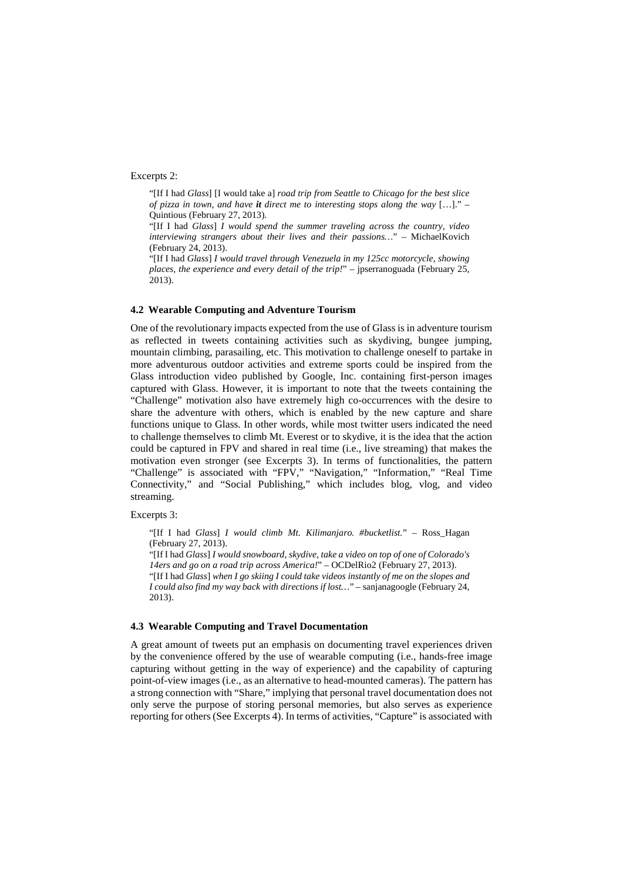## Excerpts 2:

"[If I had *Glass*] [I would take a] *road trip from Seattle to Chicago for the best slice of pizza in town, and have it direct me to interesting stops along the way* […]." – Quintious (February 27, 2013).

"[If I had *Glass*] *I would spend the summer traveling across the country, video interviewing strangers about their lives and their passions…*" – MichaelKovich (February 24, 2013).

"[If I had *Glass*] *I would travel through Venezuela in my 125cc motorcycle, showing places, the experience and every detail of the trip!*" – jpserranoguada (February 25, 2013).

#### **4.2 Wearable Computing and Adventure Tourism**

One of the revolutionary impacts expected from the use of Glass is in adventure tourism as reflected in tweets containing activities such as skydiving, bungee jumping, mountain climbing, parasailing, etc. This motivation to challenge oneself to partake in more adventurous outdoor activities and extreme sports could be inspired from the Glass introduction video published by Google, Inc. containing first-person images captured with Glass. However, it is important to note that the tweets containing the "Challenge" motivation also have extremely high co-occurrences with the desire to share the adventure with others, which is enabled by the new capture and share functions unique to Glass. In other words, while most twitter users indicated the need to challenge themselves to climb Mt. Everest or to skydive, it is the idea that the action could be captured in FPV and shared in real time (i.e., live streaming) that makes the motivation even stronger (see Excerpts 3). In terms of functionalities, the pattern "Challenge" is associated with "FPV," "Navigation," "Information," "Real Time Connectivity," and "Social Publishing," which includes blog, vlog, and video streaming.

Excerpts 3:

"[If I had *Glass*] *I would climb Mt. Kilimanjaro. #bucketlist.*" – Ross\_Hagan (February 27, 2013).

"[If I had *Glass*] *I would snowboard, skydive, take a video on top of one of Colorado's 14ers and go on a road trip across America!*" – OCDelRio2 (February 27, 2013). "[If I had *Glass*] *when I go skiing I could take videos instantly of me on the slopes and I could also find my way back with directions if lost…*" – sanjanagoogle (February 24, 2013).

#### **4.3 Wearable Computing and Travel Documentation**

A great amount of tweets put an emphasis on documenting travel experiences driven by the convenience offered by the use of wearable computing (i.e., hands-free image capturing without getting in the way of experience) and the capability of capturing point-of-view images (i.e., as an alternative to head-mounted cameras). The pattern has a strong connection with "Share," implying that personal travel documentation does not only serve the purpose of storing personal memories, but also serves as experience reporting for others (See Excerpts 4). In terms of activities, "Capture" is associated with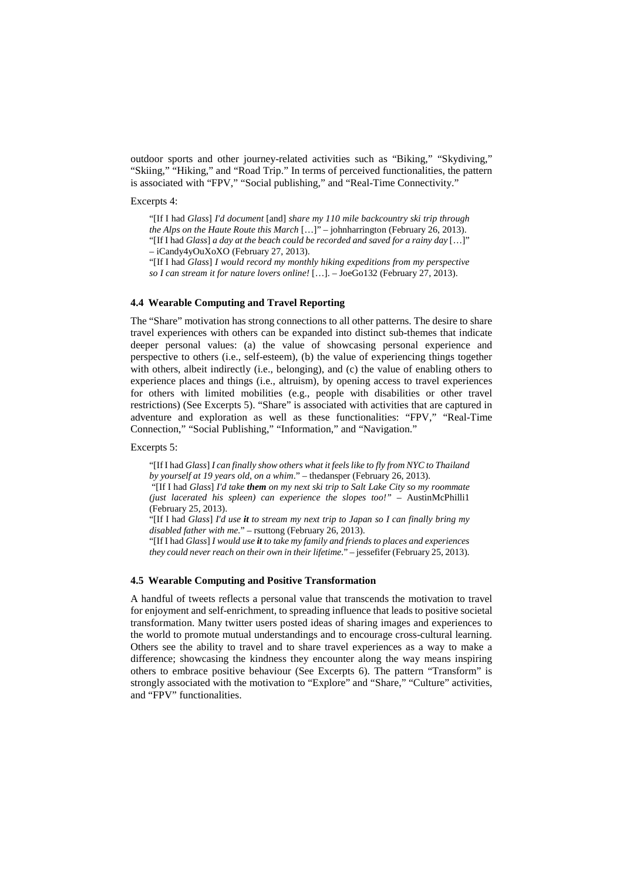outdoor sports and other journey-related activities such as "Biking," "Skydiving," "Skiing," "Hiking," and "Road Trip." In terms of perceived functionalities, the pattern is associated with "FPV," "Social publishing," and "Real-Time Connectivity."

Excerpts 4:

"[If I had *Glass*] *I'd document* [and] *share my 110 mile backcountry ski trip through the Alps on the Haute Route this March* […]" – johnharrington (February 26, 2013). "[If I had *Glass*] *a day at the beach could be recorded and saved for a rainy day* […]" – iCandy4yOuXoXO (February 27, 2013).

"[If I had *Glass*] *I would record my monthly hiking expeditions from my perspective so I can stream it for nature lovers online!* […]. – JoeGo132 (February 27, 2013).

## **4.4 Wearable Computing and Travel Reporting**

The "Share" motivation has strong connections to all other patterns. The desire to share travel experiences with others can be expanded into distinct sub-themes that indicate deeper personal values: (a) the value of showcasing personal experience and perspective to others (i.e., self-esteem), (b) the value of experiencing things together with others, albeit indirectly (i.e., belonging), and (c) the value of enabling others to experience places and things (i.e., altruism), by opening access to travel experiences for others with limited mobilities (e.g., people with disabilities or other travel restrictions) (See Excerpts 5). "Share" is associated with activities that are captured in adventure and exploration as well as these functionalities: "FPV," "Real-Time Connection," "Social Publishing," "Information," and "Navigation."

#### Excerpts 5:

"[If I had *Glass*] *I can finally show others what it feels like to fly from NYC to Thailand by yourself at 19 years old, on a whim*." – thedansper (February 26, 2013).

"[If I had *Glass*] *I'd take them on my next ski trip to Salt Lake City so my roommate (just lacerated his spleen) can experience the slopes too!"* – AustinMcPhilli1 (February 25, 2013).

"[If I had *Glass*] *I'd use it to stream my next trip to Japan so I can finally bring my disabled father with me.*" – rsuttong (February 26, 2013).

"[If I had *Glass*] *I would use it to take my family and friends to places and experiences they could never reach on their own in their lifetime*." – jessefifer (February 25, 2013).

#### **4.5 Wearable Computing and Positive Transformation**

A handful of tweets reflects a personal value that transcends the motivation to travel for enjoyment and self-enrichment, to spreading influence that leads to positive societal transformation. Many twitter users posted ideas of sharing images and experiences to the world to promote mutual understandings and to encourage cross-cultural learning. Others see the ability to travel and to share travel experiences as a way to make a difference; showcasing the kindness they encounter along the way means inspiring others to embrace positive behaviour (See Excerpts 6). The pattern "Transform" is strongly associated with the motivation to "Explore" and "Share," "Culture" activities, and "FPV" functionalities.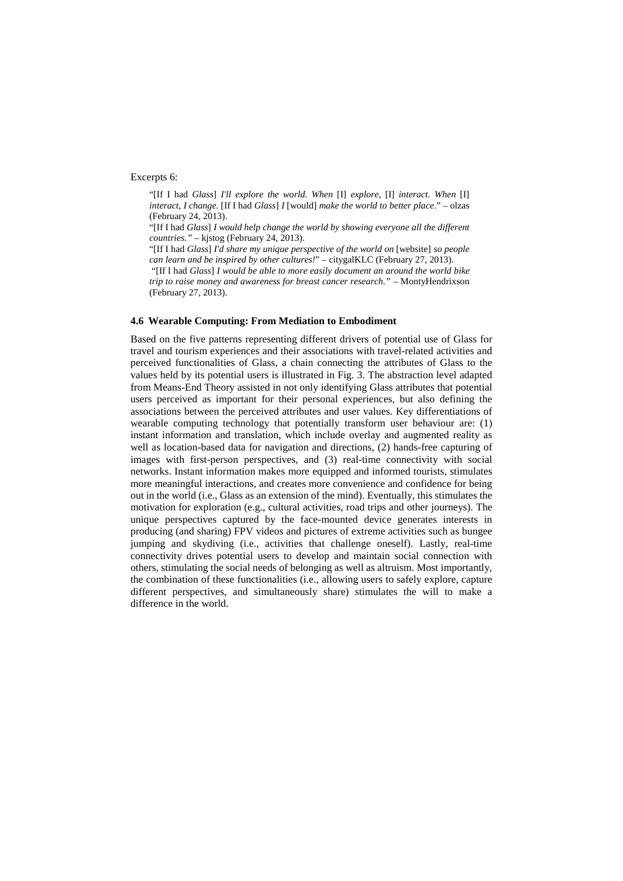### Excerpts 6:

"[If I had *Glass*] *I'll explore the world. When* [I] *explore*, [I] *interact. When* [I] *interact, I change.* [If I had *Glass*] *I* [would] *make the world to better place*." – olzas (February 24, 2013).

"[If I had *Glass*] *I would help change the world by showing everyone all the different countries."* – kjstog (February 24, 2013).

"[If I had *Glass*] *I'd share my unique perspective of the world on* [website] *so people can learn and be inspired by other cultures!*" – citygalKLC (February 27, 2013).

"[If I had *Glass*] *I would be able to more easily document an around the world bike trip to raise money and awareness for breast cancer research."* – MontyHendrixson (February 27, 2013).

#### **4.6 Wearable Computing: From Mediation to Embodiment**

Based on the five patterns representing different drivers of potential use of Glass for travel and tourism experiences and their associations with travel-related activities and perceived functionalities of Glass, a chain connecting the attributes of Glass to the values held by its potential users is illustrated in Fig. 3. The abstraction level adapted from Means-End Theory assisted in not only identifying Glass attributes that potential users perceived as important for their personal experiences, but also defining the associations between the perceived attributes and user values. Key differentiations of wearable computing technology that potentially transform user behaviour are: (1) instant information and translation, which include overlay and augmented reality as well as location-based data for navigation and directions, (2) hands-free capturing of images with first-person perspectives, and (3) real-time connectivity with social networks. Instant information makes more equipped and informed tourists, stimulates more meaningful interactions, and creates more convenience and confidence for being out in the world (i.e., Glass as an extension of the mind). Eventually, this stimulates the motivation for exploration (e.g., cultural activities, road trips and other journeys). The unique perspectives captured by the face-mounted device generates interests in producing (and sharing) FPV videos and pictures of extreme activities such as bungee jumping and skydiving (i.e., activities that challenge oneself). Lastly, real-time connectivity drives potential users to develop and maintain social connection with others, stimulating the social needs of belonging as well as altruism. Most importantly, the combination of these functionalities (i.e., allowing users to safely explore, capture different perspectives, and simultaneously share) stimulates the will to make a difference in the world.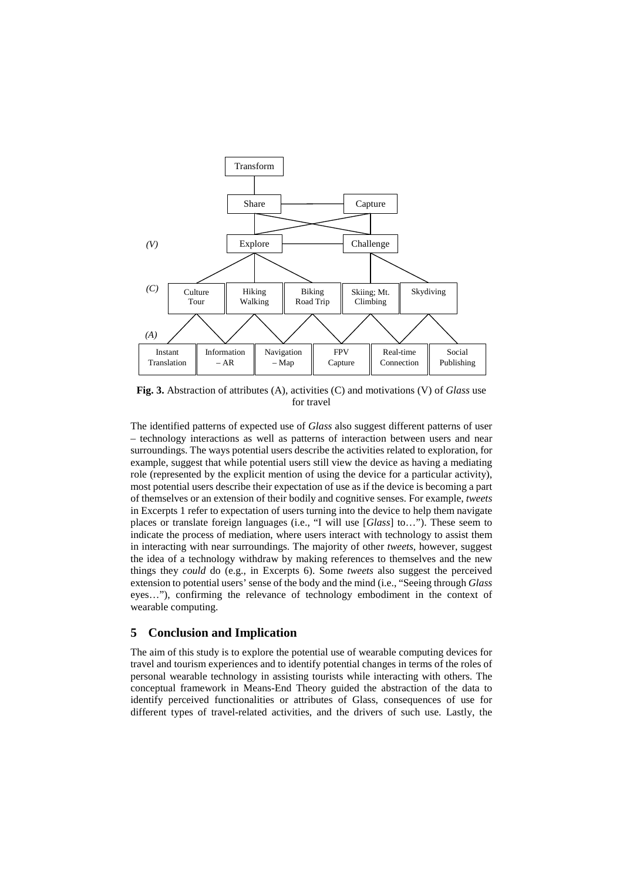

**Fig. 3.** Abstraction of attributes (A), activities (C) and motivations (V) of *Glass* use for travel

The identified patterns of expected use of *Glass* also suggest different patterns of user – technology interactions as well as patterns of interaction between users and near surroundings. The ways potential users describe the activities related to exploration, for example, suggest that while potential users still view the device as having a mediating role (represented by the explicit mention of using the device for a particular activity), most potential users describe their expectation of use as if the device is becoming a part of themselves or an extension of their bodily and cognitive senses. For example, *tweets* in Excerpts 1 refer to expectation of users turning into the device to help them navigate places or translate foreign languages (i.e., "I will use [*Glass*] to…"). These seem to indicate the process of mediation, where users interact with technology to assist them in interacting with near surroundings. The majority of other *tweets*, however, suggest the idea of a technology withdraw by making references to themselves and the new things they *could* do (e.g., in Excerpts 6). Some *tweets* also suggest the perceived extension to potential users' sense of the body and the mind (i.e., "Seeing through *Glass* eyes…"), confirming the relevance of technology embodiment in the context of wearable computing.

#### **5 Conclusion and Implication**

The aim of this study is to explore the potential use of wearable computing devices for travel and tourism experiences and to identify potential changes in terms of the roles of personal wearable technology in assisting tourists while interacting with others. The conceptual framework in Means-End Theory guided the abstraction of the data to identify perceived functionalities or attributes of Glass, consequences of use for different types of travel-related activities, and the drivers of such use. Lastly, the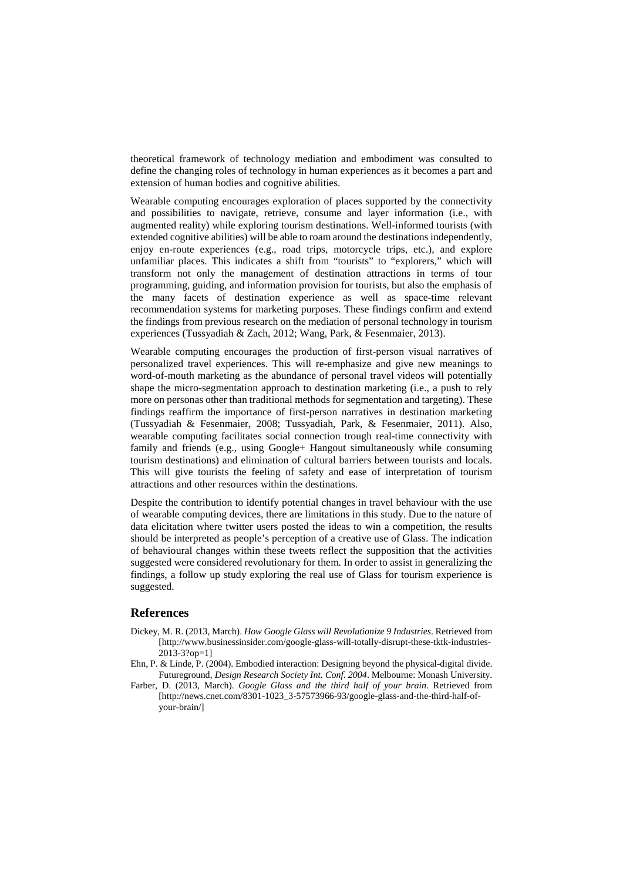theoretical framework of technology mediation and embodiment was consulted to define the changing roles of technology in human experiences as it becomes a part and extension of human bodies and cognitive abilities.

Wearable computing encourages exploration of places supported by the connectivity and possibilities to navigate, retrieve, consume and layer information (i.e., with augmented reality) while exploring tourism destinations. Well-informed tourists (with extended cognitive abilities) will be able to roam around the destinations independently, enjoy en-route experiences (e.g., road trips, motorcycle trips, etc.), and explore unfamiliar places. This indicates a shift from "tourists" to "explorers," which will transform not only the management of destination attractions in terms of tour programming, guiding, and information provision for tourists, but also the emphasis of the many facets of destination experience as well as space-time relevant recommendation systems for marketing purposes. These findings confirm and extend the findings from previous research on the mediation of personal technology in tourism experiences (Tussyadiah & Zach, 2012; Wang, Park, & Fesenmaier, 2013).

Wearable computing encourages the production of first-person visual narratives of personalized travel experiences. This will re-emphasize and give new meanings to word-of-mouth marketing as the abundance of personal travel videos will potentially shape the micro-segmentation approach to destination marketing (i.e., a push to rely more on personas other than traditional methods for segmentation and targeting). These findings reaffirm the importance of first-person narratives in destination marketing (Tussyadiah & Fesenmaier, 2008; Tussyadiah, Park, & Fesenmaier, 2011). Also, wearable computing facilitates social connection trough real-time connectivity with family and friends (e.g., using Google+ Hangout simultaneously while consuming tourism destinations) and elimination of cultural barriers between tourists and locals. This will give tourists the feeling of safety and ease of interpretation of tourism attractions and other resources within the destinations.

Despite the contribution to identify potential changes in travel behaviour with the use of wearable computing devices, there are limitations in this study. Due to the nature of data elicitation where twitter users posted the ideas to win a competition, the results should be interpreted as people's perception of a creative use of Glass. The indication of behavioural changes within these tweets reflect the supposition that the activities suggested were considered revolutionary for them. In order to assist in generalizing the findings, a follow up study exploring the real use of Glass for tourism experience is suggested.

# **References**

- Dickey, M. R. (2013, March). *How Google Glass will Revolutionize 9 Industries*. Retrieved from [http://www.businessinsider.com/google-glass-will-totally-disrupt-these-tktk-industries-2013-3?op=1]
- Ehn, P. & Linde, P. (2004). Embodied interaction: Designing beyond the physical-digital divide. Futureground, *Design Research Society Int. Conf. 2004*. Melbourne: Monash University.
- Farber, D. (2013, March). *Google Glass and the third half of your brain*. Retrieved from [http://news.cnet.com/8301-1023\_3-57573966-93/google-glass-and-the-third-half-ofyour-brain/]